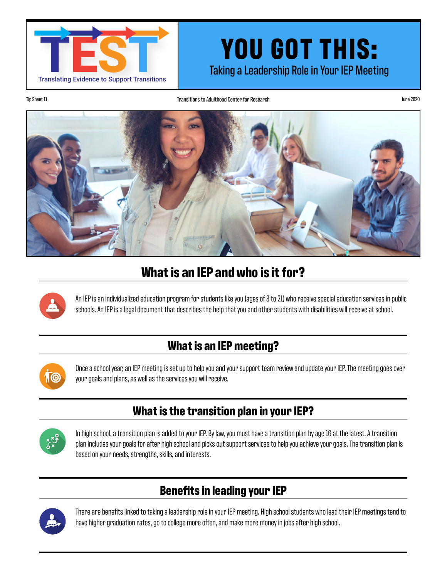

# **YOU GOT THIS:**<br>Taking a Leadership Role in Your IEP Meeting

Transitions to Adulthood Center for Research Transitions to Adulthood Center for Research June 2020



## **What is an IEP and who is it for?**



An IEP is an individualized education program for students like you (ages of 3 to 21) who receive special education services in public schools. An IEP is a legal document that describes the help that you and other students with disabilities will receive at school.

## **What is an IEP meeting?**



Once a school year, an IEP meeting is set up to help you and your support team review and update your IEP. The meeting goes over your goals and plans, as well as the services you will receive.

#### **What is the transition plan in your IEP?**



In high school, a transition plan is added to your IEP. By law, you must have a transition plan by age 16 at the latest. A transition plan includes your goals for after high school and picks out support services to help you achieve your goals. The transition plan is based on your needs, strengths, skills, and interests.

## **Benefits in leading your IEP**



There are benefits linked to taking a leadership role in your IEP meeting. High school students who lead their IEP meetings tend to have higher graduation rates, go to college more often, and make more money in jobs after high school.